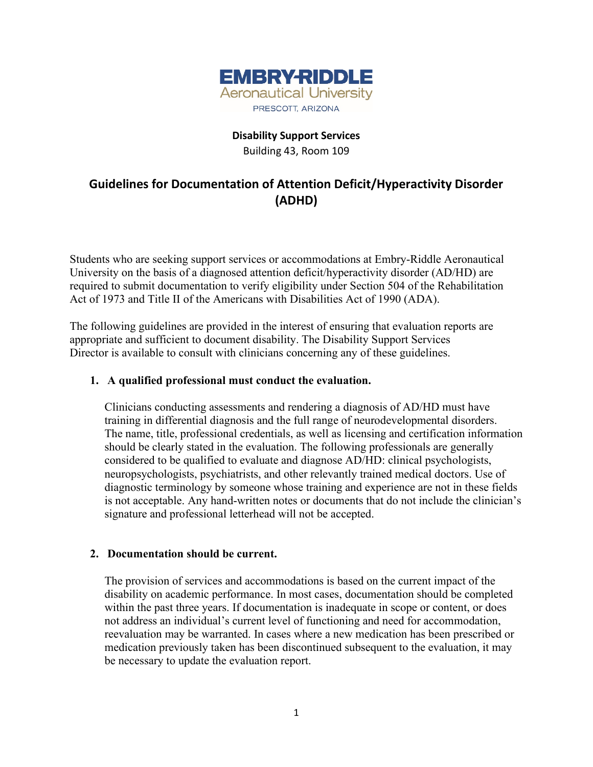

## **Disability Support Services** Building 43, Room 109

# **Guidelines for Documentation of Attention Deficit/Hyperactivity Disorder (ADHD)**

Students who are seeking support services or accommodations at Embry-Riddle Aeronautical University on the basis of a diagnosed attention deficit/hyperactivity disorder (AD/HD) are required to submit documentation to verify eligibility under Section 504 of the Rehabilitation Act of 1973 and Title II of the Americans with Disabilities Act of 1990 (ADA).

The following guidelines are provided in the interest of ensuring that evaluation reports are appropriate and sufficient to document disability. The Disability Support Services Director is available to consult with clinicians concerning any of these guidelines.

## **1. A qualified professional must conduct the evaluation.**

Clinicians conducting assessments and rendering a diagnosis of AD/HD must have training in differential diagnosis and the full range of neurodevelopmental disorders. The name, title, professional credentials, as well as licensing and certification information should be clearly stated in the evaluation. The following professionals are generally considered to be qualified to evaluate and diagnose AD/HD: clinical psychologists, neuropsychologists, psychiatrists, and other relevantly trained medical doctors. Use of diagnostic terminology by someone whose training and experience are not in these fields is not acceptable. Any hand-written notes or documents that do not include the clinician's signature and professional letterhead will not be accepted.

#### **2. Documentation should be current.**

The provision of services and accommodations is based on the current impact of the disability on academic performance. In most cases, documentation should be completed within the past three years. If documentation is inadequate in scope or content, or does not address an individual's current level of functioning and need for accommodation, reevaluation may be warranted. In cases where a new medication has been prescribed or medication previously taken has been discontinued subsequent to the evaluation, it may be necessary to update the evaluation report.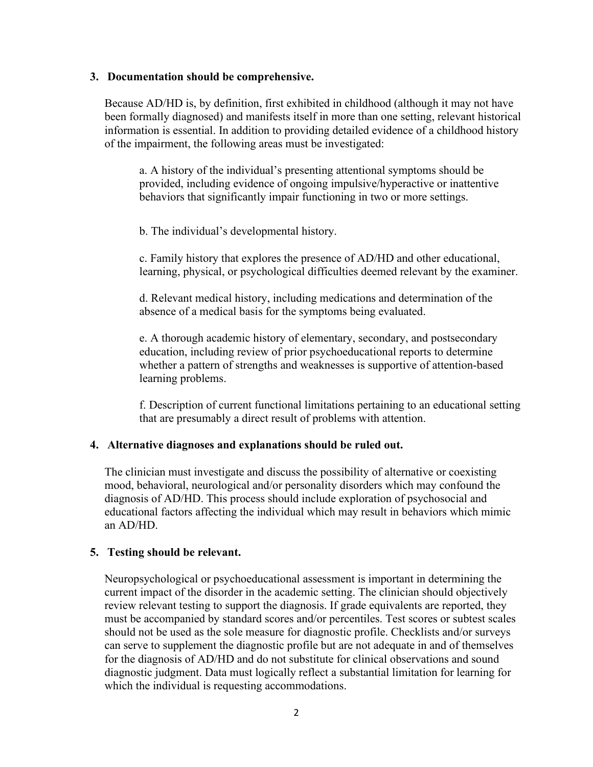#### **3. Documentation should be comprehensive.**

Because AD/HD is, by definition, first exhibited in childhood (although it may not have been formally diagnosed) and manifests itself in more than one setting, relevant historical information is essential. In addition to providing detailed evidence of a childhood history of the impairment, the following areas must be investigated:

a. A history of the individual's presenting attentional symptoms should be provided, including evidence of ongoing impulsive/hyperactive or inattentive behaviors that significantly impair functioning in two or more settings.

b. The individual's developmental history.

c. Family history that explores the presence of AD/HD and other educational, learning, physical, or psychological difficulties deemed relevant by the examiner.

d. Relevant medical history, including medications and determination of the absence of a medical basis for the symptoms being evaluated.

e. A thorough academic history of elementary, secondary, and postsecondary education, including review of prior psychoeducational reports to determine whether a pattern of strengths and weaknesses is supportive of attention-based learning problems.

f. Description of current functional limitations pertaining to an educational setting that are presumably a direct result of problems with attention.

#### **4. Alternative diagnoses and explanations should be ruled out.**

The clinician must investigate and discuss the possibility of alternative or coexisting mood, behavioral, neurological and/or personality disorders which may confound the diagnosis of AD/HD. This process should include exploration of psychosocial and educational factors affecting the individual which may result in behaviors which mimic an AD/HD.

#### **5. Testing should be relevant.**

Neuropsychological or psychoeducational assessment is important in determining the current impact of the disorder in the academic setting. The clinician should objectively review relevant testing to support the diagnosis. If grade equivalents are reported, they must be accompanied by standard scores and/or percentiles. Test scores or subtest scales should not be used as the sole measure for diagnostic profile. Checklists and/or surveys can serve to supplement the diagnostic profile but are not adequate in and of themselves for the diagnosis of AD/HD and do not substitute for clinical observations and sound diagnostic judgment. Data must logically reflect a substantial limitation for learning for which the individual is requesting accommodations.